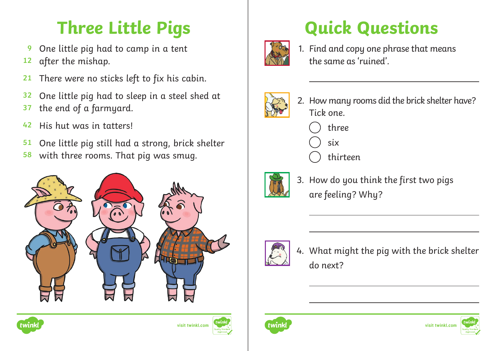## **Three Little Pigs**

- One little pig had to camp in a tent **9**
- after the mishap. **12**
- There were no sticks left to fix his cabin. **21**
- One little pig had to sleep in a steel shed at **32**
- the end of a farmyard. **37**
- His hut was in tatters! **42**
- One little pig still had a strong, brick shelter **51**
- with three rooms. That pig was smug. **58**







## **Quick Questions**



1. Find and copy one phrase that means the same as 'ruined'.



- 2. How many rooms did the brick shelter have? Tick one.
	- three
	- six
	- thirteen



3. How do you think the first two pigs are feeling? Why?



4. What might the pig with the brick shelter do next?